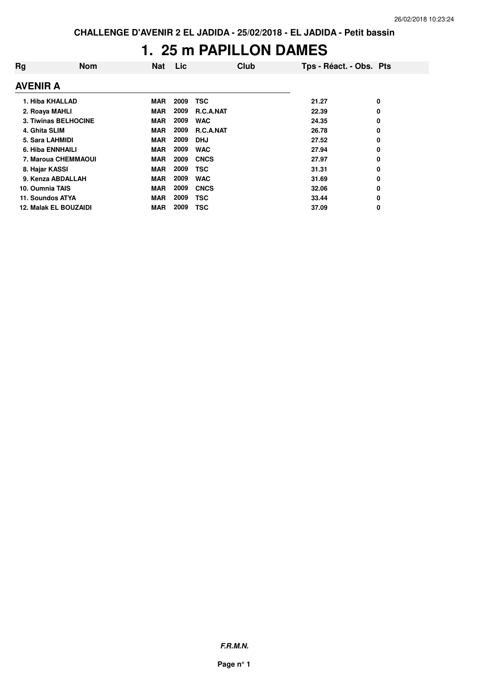## **1. 25 m PAPILLON DAMES**

| Rg               | <b>Nom</b>                   | <b>Nat</b> | Lic  | Club             | Tps - Réact. - Obs. Pts |   |
|------------------|------------------------------|------------|------|------------------|-------------------------|---|
| <b>AVENIR A</b>  |                              |            |      |                  |                         |   |
| 1. Hiba KHALLAD  |                              | <b>MAR</b> | 2009 | TSC              | 21.27                   | 0 |
| 2. Roaya MAHLI   |                              | <b>MAR</b> | 2009 | <b>R.C.A.NAT</b> | 22.39                   | 0 |
|                  | 3. Tiwinas BELHOCINE         | <b>MAR</b> | 2009 | <b>WAC</b>       | 24.35                   | 0 |
| 4. Ghita SLIM    |                              | <b>MAR</b> | 2009 | <b>R.C.A.NAT</b> | 26.78                   | 0 |
| 5. Sara LAHMIDI  |                              | <b>MAR</b> | 2009 | <b>DHJ</b>       | 27.52                   | 0 |
| 6. Hiba ENNHAILI |                              | <b>MAR</b> | 2009 | <b>WAC</b>       | 27.94                   | 0 |
|                  | 7. Maroua CHEMMAOUI          | <b>MAR</b> | 2009 | <b>CNCS</b>      | 27.97                   | 0 |
| 8. Hajar KASSI   |                              | <b>MAR</b> | 2009 | TSC              | 31.31                   | 0 |
|                  | 9. Kenza ABDALLAH            | <b>MAR</b> | 2009 | <b>WAC</b>       | 31.69                   | 0 |
| 10. Oumnia TAIS  |                              | <b>MAR</b> | 2009 | <b>CNCS</b>      | 32.06                   | 0 |
| 11. Soundos ATYA |                              | <b>MAR</b> | 2009 | TSC              | 33.44                   | 0 |
|                  | <b>12. Malak EL BOUZAIDI</b> | <b>MAR</b> | 2009 | TSC              | 37.09                   | 0 |

**F.R.M.N.**

**Page n° 1**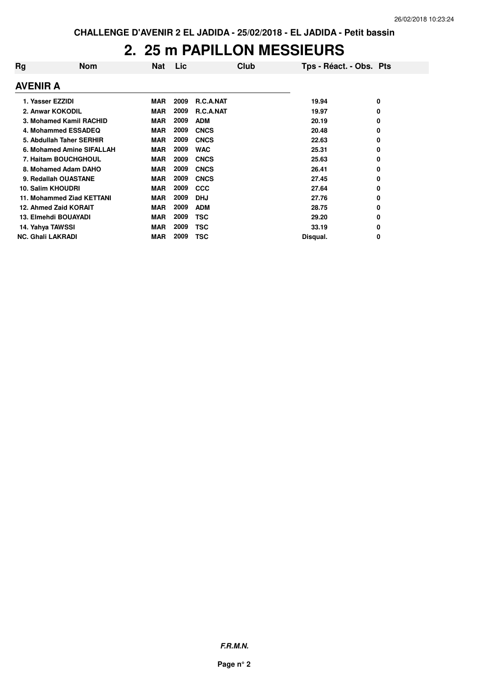#### **2. 25 m PAPILLON MESSIEURS**

| Rg                       | <b>Nom</b>                | <b>Nat</b> | Lic  | Club             | Tps - Réact. - Obs. Pts |   |
|--------------------------|---------------------------|------------|------|------------------|-------------------------|---|
| <b>AVENIR A</b>          |                           |            |      |                  |                         |   |
| 1. Yasser EZZIDI         |                           | <b>MAR</b> | 2009 | <b>R.C.A.NAT</b> | 19.94                   | 0 |
|                          | 2. Anwar KOKODIL          | <b>MAR</b> | 2009 | R.C.A.NAT        | 19.97                   | 0 |
|                          | 3. Mohamed Kamil RACHID   | <b>MAR</b> | 2009 | <b>ADM</b>       | 20.19                   | 0 |
|                          | 4. Mohammed ESSADEQ       | <b>MAR</b> | 2009 | <b>CNCS</b>      | 20.48                   | 0 |
|                          | 5. Abdullah Taher SERHIR  | <b>MAR</b> | 2009 | <b>CNCS</b>      | 22.63                   | 0 |
|                          | 6. Mohamed Amine SIFALLAH | <b>MAR</b> | 2009 | <b>WAC</b>       | 25.31                   | 0 |
|                          | 7. Haitam BOUCHGHOUL      | <b>MAR</b> | 2009 | <b>CNCS</b>      | 25.63                   | 0 |
|                          | 8. Mohamed Adam DAHO      | <b>MAR</b> | 2009 | <b>CNCS</b>      | 26.41                   | 0 |
|                          | 9. Redallah OUASTANE      | <b>MAR</b> | 2009 | <b>CNCS</b>      | 27.45                   | 0 |
| 10. Salim KHOUDRI        |                           | <b>MAR</b> | 2009 | <b>CCC</b>       | 27.64                   | 0 |
|                          | 11. Mohammed Ziad KETTANI | <b>MAR</b> | 2009 | <b>DHJ</b>       | 27.76                   | 0 |
|                          | 12. Ahmed Zaid KORAIT     | <b>MAR</b> | 2009 | <b>ADM</b>       | 28.75                   | 0 |
|                          | 13. Elmehdi BOUAYADI      | <b>MAR</b> | 2009 | TSC              | 29.20                   | 0 |
| 14. Yahya TAWSSI         |                           | <b>MAR</b> | 2009 | TSC              | 33.19                   | 0 |
| <b>NC. Ghali LAKRADI</b> |                           | <b>MAR</b> | 2009 | <b>TSC</b>       | Disqual.                | 0 |

**F.R.M.N.**

**Page n° 2**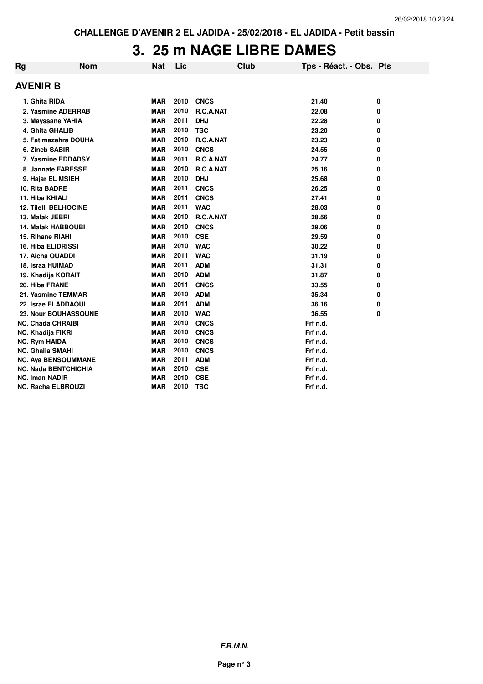## **3. 25 m NAGE LIBRE DAMES**

| Rg                           | <b>Nom</b>                  | <b>Nat</b> | Lic  | <b>Club</b> | Tps - Réact. - Obs. Pts |   |
|------------------------------|-----------------------------|------------|------|-------------|-------------------------|---|
| AVENIR B                     |                             |            |      |             |                         |   |
| 1. Ghita RIDA                |                             | <b>MAR</b> | 2010 | <b>CNCS</b> | 21.40                   | 0 |
|                              | 2. Yasmine ADERRAB          | <b>MAR</b> | 2010 | R.C.A.NAT   | 22.08                   | 0 |
| 3. Mayssane YAHIA            |                             | <b>MAR</b> | 2011 | <b>DHJ</b>  | 22.28                   | 0 |
| 4. Ghita GHALIB              |                             | <b>MAR</b> | 2010 | <b>TSC</b>  | 23.20                   | 0 |
|                              | 5. Fatimazahra DOUHA        | <b>MAR</b> | 2010 | R.C.A.NAT   | 23.23                   | 0 |
| 6. Zineb SABIR               |                             | <b>MAR</b> | 2010 | <b>CNCS</b> | 24.55                   | 0 |
|                              | 7. Yasmine EDDADSY          | <b>MAR</b> | 2011 | R.C.A.NAT   | 24.77                   | 0 |
|                              | 8. Jannate FARESSE          | <b>MAR</b> | 2010 | R.C.A.NAT   | 25.16                   | 0 |
| 9. Hajar EL MSIEH            |                             | <b>MAR</b> | 2010 | <b>DHJ</b>  | 25.68                   | 0 |
| 10. Rita BADRE               |                             | <b>MAR</b> | 2011 | <b>CNCS</b> | 26.25                   | 0 |
| 11. Hiba KHIALI              |                             | <b>MAR</b> | 2011 | <b>CNCS</b> | 27.41                   | 0 |
| <b>12. Tilelli BELHOCINE</b> |                             | <b>MAR</b> | 2011 | <b>WAC</b>  | 28.03                   | 0 |
| 13. Malak JEBRI              |                             | <b>MAR</b> | 2010 | R.C.A.NAT   | 28.56                   | 0 |
| <b>14. Malak HABBOUBI</b>    |                             | <b>MAR</b> | 2010 | <b>CNCS</b> | 29.06                   | 0 |
| 15. Rihane RIAHI             |                             | <b>MAR</b> | 2010 | <b>CSE</b>  | 29.59                   | 0 |
| <b>16. Hiba ELIDRISSI</b>    |                             | <b>MAR</b> | 2010 | <b>WAC</b>  | 30.22                   | 0 |
| 17. Aicha OUADDI             |                             | <b>MAR</b> | 2011 | <b>WAC</b>  | 31.19                   | 0 |
| 18. Israa HUIMAD             |                             | <b>MAR</b> | 2011 | <b>ADM</b>  | 31.31                   | 0 |
| 19. Khadija KORAIT           |                             | <b>MAR</b> | 2010 | <b>ADM</b>  | 31.87                   | 0 |
| 20. Hiba FRANE               |                             | <b>MAR</b> | 2011 | <b>CNCS</b> | 33.55                   | 0 |
| 21. Yasmine TEMMAR           |                             | <b>MAR</b> | 2010 | <b>ADM</b>  | 35.34                   | 0 |
| 22. Israe ELADDAOUI          |                             | <b>MAR</b> | 2011 | <b>ADM</b>  | 36.16                   | 0 |
|                              | 23. Nour BOUHASSOUNE        | <b>MAR</b> | 2010 | <b>WAC</b>  | 36.55                   | 0 |
| <b>NC. Chada CHRAIBI</b>     |                             | <b>MAR</b> | 2010 | <b>CNCS</b> | Frf n.d.                |   |
| <b>NC. Khadija FIKRI</b>     |                             | <b>MAR</b> | 2010 | <b>CNCS</b> | Frf n.d.                |   |
| <b>NC. Rym HAIDA</b>         |                             | <b>MAR</b> | 2010 | <b>CNCS</b> | Frf n.d.                |   |
| <b>NC. Ghalia SMAHI</b>      |                             | <b>MAR</b> | 2010 | <b>CNCS</b> | Frf n.d.                |   |
|                              | <b>NC. Aya BENSOUMMANE</b>  | <b>MAR</b> | 2011 | <b>ADM</b>  | Frf n.d.                |   |
|                              | <b>NC. Nada BENTCHICHIA</b> | <b>MAR</b> | 2010 | <b>CSE</b>  | Frf n.d.                |   |
| <b>NC. Iman NADIR</b>        |                             | <b>MAR</b> | 2010 | <b>CSE</b>  | Frf n.d.                |   |
| NC. Racha ELBROUZI           |                             | <b>MAR</b> | 2010 | <b>TSC</b>  | Frf n.d.                |   |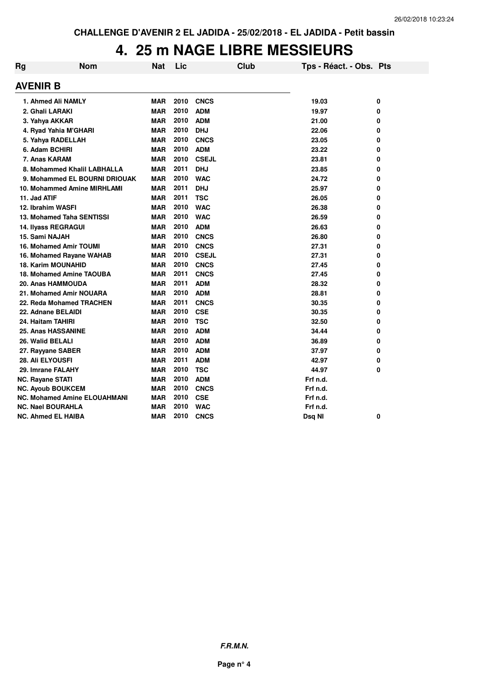#### **4. 25 m NAGE LIBRE MESSIEURS**

| Rg | <b>Nom</b>                          | <b>Nat</b> | Lic  |              | <b>Club</b> | Tps - Réact. - Obs. Pts |   |
|----|-------------------------------------|------------|------|--------------|-------------|-------------------------|---|
|    | <b>AVENIR B</b>                     |            |      |              |             |                         |   |
|    | 1. Ahmed Ali NAMLY                  | <b>MAR</b> | 2010 | <b>CNCS</b>  |             | 19.03                   | 0 |
|    | 2. Ghali LARAKI                     | <b>MAR</b> | 2010 | <b>ADM</b>   |             | 19.97                   | 0 |
|    | 3. Yahya AKKAR                      | <b>MAR</b> | 2010 | <b>ADM</b>   |             | 21.00                   | 0 |
|    | 4. Ryad Yahia M'GHARI               | <b>MAR</b> | 2010 | <b>DHJ</b>   |             | 22.06                   | 0 |
|    | 5. Yahya RADELLAH                   | <b>MAR</b> | 2010 | <b>CNCS</b>  |             | 23.05                   | 0 |
|    | 6. Adam BCHIRI                      | <b>MAR</b> | 2010 | <b>ADM</b>   |             | 23.22                   | 0 |
|    | 7. Anas KARAM                       | <b>MAR</b> | 2010 | <b>CSEJL</b> |             | 23.81                   | 0 |
|    | 8. Mohammed Khalil LABHALLA         | <b>MAR</b> | 2011 | <b>DHJ</b>   |             | 23.85                   | 0 |
|    | 9. Mohammed EL BOURNI DRIOUAK       | <b>MAR</b> | 2010 | <b>WAC</b>   |             | 24.72                   | 0 |
|    | 10. Mohammed Amine MIRHLAMI         | <b>MAR</b> | 2011 | <b>DHJ</b>   |             | 25.97                   | 0 |
|    | 11. Jad ATIF                        | <b>MAR</b> | 2011 | <b>TSC</b>   |             | 26.05                   | 0 |
|    | 12. Ibrahim WASFI                   | <b>MAR</b> | 2010 | <b>WAC</b>   |             | 26.38                   | 0 |
|    | 13. Mohamed Taha SENTISSI           | <b>MAR</b> | 2010 | <b>WAC</b>   |             | 26.59                   | 0 |
|    | <b>14. Ilyass REGRAGUI</b>          | <b>MAR</b> | 2010 | <b>ADM</b>   |             | 26.63                   | 0 |
|    | 15. Sami NAJAH                      | <b>MAR</b> | 2010 | <b>CNCS</b>  |             | 26.80                   | 0 |
|    | <b>16. Mohamed Amir TOUMI</b>       | <b>MAR</b> | 2010 | <b>CNCS</b>  |             | 27.31                   | 0 |
|    | 16. Mohamed Rayane WAHAB            | <b>MAR</b> | 2010 | <b>CSEJL</b> |             | 27.31                   | 0 |
|    | <b>18. Karim MOUNAHID</b>           | <b>MAR</b> | 2010 | <b>CNCS</b>  |             | 27.45                   | 0 |
|    | 18. Mohamed Amine TAOUBA            | <b>MAR</b> | 2011 | <b>CNCS</b>  |             | 27.45                   | 0 |
|    | 20. Anas HAMMOUDA                   | <b>MAR</b> | 2011 | <b>ADM</b>   |             | 28.32                   | 0 |
|    | 21. Mohamed Amir NOUARA             | <b>MAR</b> | 2010 | <b>ADM</b>   |             | 28.81                   | 0 |
|    | 22. Reda Mohamed TRACHEN            | <b>MAR</b> | 2011 | <b>CNCS</b>  |             | 30.35                   | 0 |
|    | 22. Adnane BELAIDI                  | <b>MAR</b> | 2010 | <b>CSE</b>   |             | 30.35                   | 0 |
|    | 24. Haitam TAHIRI                   | <b>MAR</b> | 2010 | <b>TSC</b>   |             | 32.50                   | 0 |
|    | <b>25. Anas HASSANINE</b>           | <b>MAR</b> | 2010 | <b>ADM</b>   |             | 34.44                   | 0 |
|    | 26. Walid BELALI                    | <b>MAR</b> | 2010 | <b>ADM</b>   |             | 36.89                   | 0 |
|    | 27. Rayyane SABER                   | <b>MAR</b> | 2010 | <b>ADM</b>   |             | 37.97                   | 0 |
|    | <b>28. Ali ELYOUSFI</b>             | <b>MAR</b> | 2011 | <b>ADM</b>   |             | 42.97                   | 0 |
|    | 29. Imrane FALAHY                   | <b>MAR</b> | 2010 | <b>TSC</b>   |             | 44.97                   | 0 |
|    | <b>NC. Rayane STATI</b>             | <b>MAR</b> | 2010 | <b>ADM</b>   |             | Frf n.d.                |   |
|    | <b>NC. Ayoub BOUKCEM</b>            | <b>MAR</b> | 2010 | <b>CNCS</b>  |             | Frf n.d.                |   |
|    | <b>NC. Mohamed Amine ELOUAHMANI</b> | <b>MAR</b> | 2010 | <b>CSE</b>   |             | Frf n.d.                |   |
|    | <b>NC. Nael BOURAHLA</b>            | <b>MAR</b> | 2010 | <b>WAC</b>   |             | Frf n.d.                |   |
|    | <b>NC. Ahmed EL HAIBA</b>           | <b>MAR</b> | 2010 | <b>CNCS</b>  |             | Dsq NI                  | 0 |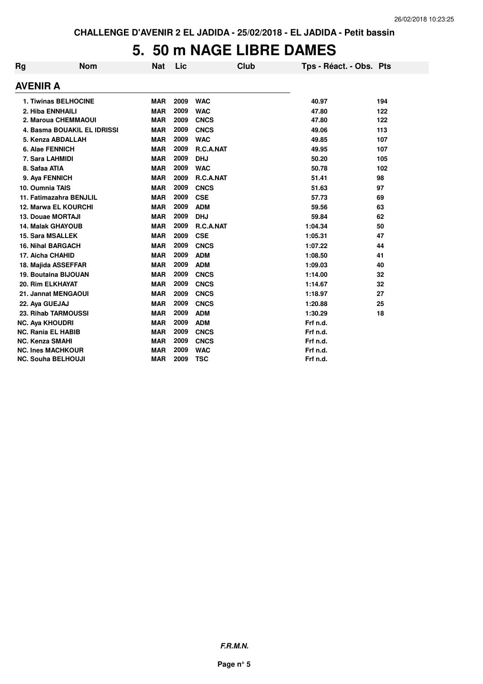## **5. 50 m NAGE LIBRE DAMES**

| Rg | <b>Nom</b>                  | <b>Nat</b> | Lic  | Club        | Tps - Réact. - Obs. Pts |     |
|----|-----------------------------|------------|------|-------------|-------------------------|-----|
|    | <b>AVENIR A</b>             |            |      |             |                         |     |
|    | <b>1. Tiwinas BELHOCINE</b> | <b>MAR</b> | 2009 | <b>WAC</b>  | 40.97                   | 194 |
|    | 2. Hiba ENNHAILI            | <b>MAR</b> | 2009 | <b>WAC</b>  | 47.80                   | 122 |
|    | 2. Maroua CHEMMAOUI         | <b>MAR</b> | 2009 | <b>CNCS</b> | 47.80                   | 122 |
|    | 4. Basma BOUAKIL EL IDRISSI | <b>MAR</b> | 2009 | <b>CNCS</b> | 49.06                   | 113 |
|    | 5. Kenza ABDALLAH           | <b>MAR</b> | 2009 | <b>WAC</b>  | 49.85                   | 107 |
|    | 6. Alae FENNICH             | <b>MAR</b> | 2009 | R.C.A.NAT   | 49.95                   | 107 |
|    | 7. Sara LAHMIDI             | <b>MAR</b> | 2009 | <b>DHJ</b>  | 50.20                   | 105 |
|    | 8. Safaa ATIA               | <b>MAR</b> | 2009 | <b>WAC</b>  | 50.78                   | 102 |
|    | 9. Aya FENNICH              | <b>MAR</b> | 2009 | R.C.A.NAT   | 51.41                   | 98  |
|    | 10. Oumnia TAIS             | <b>MAR</b> | 2009 | <b>CNCS</b> | 51.63                   | 97  |
|    | 11. Fatimazahra BENJLIL     | <b>MAR</b> | 2009 | <b>CSE</b>  | 57.73                   | 69  |
|    | <b>12. Marwa EL KOURCHI</b> | <b>MAR</b> | 2009 | <b>ADM</b>  | 59.56                   | 63  |
|    | <b>13. Douae MORTAJI</b>    | <b>MAR</b> | 2009 | <b>DHJ</b>  | 59.84                   | 62  |
|    | <b>14. Malak GHAYOUB</b>    | <b>MAR</b> | 2009 | R.C.A.NAT   | 1:04.34                 | 50  |
|    | <b>15. Sara MSALLEK</b>     | <b>MAR</b> | 2009 | <b>CSE</b>  | 1:05.31                 | 47  |
|    | <b>16. Nihal BARGACH</b>    | <b>MAR</b> | 2009 | <b>CNCS</b> | 1:07.22                 | 44  |
|    | 17. Aicha CHAHID            | <b>MAR</b> | 2009 | <b>ADM</b>  | 1:08.50                 | 41  |
|    | 18. Majida ASSEFFAR         | <b>MAR</b> | 2009 | <b>ADM</b>  | 1:09.03                 | 40  |
|    | <b>19. Boutaina BIJOUAN</b> | <b>MAR</b> | 2009 | <b>CNCS</b> | 1:14.00                 | 32  |
|    | 20. Rim ELKHAYAT            | <b>MAR</b> | 2009 | <b>CNCS</b> | 1:14.67                 | 32  |
|    | 21. Jannat MENGAOUI         | <b>MAR</b> | 2009 | <b>CNCS</b> | 1:18.97                 | 27  |
|    | 22. Aya GUEJAJ              | <b>MAR</b> | 2009 | <b>CNCS</b> | 1:20.88                 | 25  |
|    | 23. Rihab TARMOUSSI         | <b>MAR</b> | 2009 | <b>ADM</b>  | 1:30.29                 | 18  |
|    | <b>NC. Aya KHOUDRI</b>      | <b>MAR</b> | 2009 | <b>ADM</b>  | Frf n.d.                |     |
|    | <b>NC. Rania EL HABIB</b>   | <b>MAR</b> | 2009 | <b>CNCS</b> | Frf n.d.                |     |
|    | <b>NC. Kenza SMAHI</b>      | <b>MAR</b> | 2009 | <b>CNCS</b> | Frf n.d.                |     |
|    | <b>NC. Ines MACHKOUR</b>    | <b>MAR</b> | 2009 | <b>WAC</b>  | Frf n.d.                |     |
|    | <b>NC. Souha BELHOUJI</b>   | <b>MAR</b> | 2009 | <b>TSC</b>  | Frf n.d.                |     |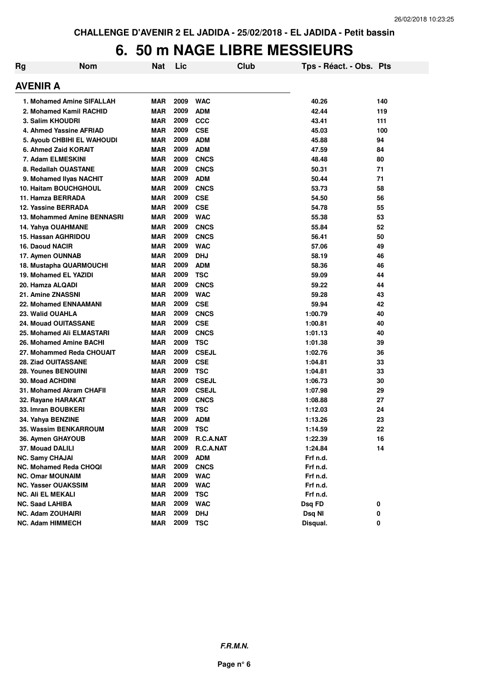#### **6. 50 m NAGE LIBRE MESSIEURS**

| <b>Rg</b> | <b>Nom</b>                        | Nat        | Lic  | <b>Club</b>  | Tps - Réact. - Obs. Pts |     |
|-----------|-----------------------------------|------------|------|--------------|-------------------------|-----|
|           | <b>AVENIR A</b>                   |            |      |              |                         |     |
|           | 1. Mohamed Amine SIFALLAH         | MAR        | 2009 | <b>WAC</b>   | 40.26                   | 140 |
|           | 2. Mohamed Kamil RACHID           | <b>MAR</b> | 2009 | <b>ADM</b>   | 42.44                   | 119 |
|           | 3. Salim KHOUDRI                  | <b>MAR</b> | 2009 | <b>CCC</b>   | 43.41                   | 111 |
|           | 4. Ahmed Yassine AFRIAD           | <b>MAR</b> | 2009 | <b>CSE</b>   | 45.03                   | 100 |
|           | <b>5. Ayoub CHBIHI EL WAHOUDI</b> | <b>MAR</b> | 2009 | <b>ADM</b>   | 45.88                   | 94  |
|           | 6. Ahmed Zaid KORAIT              | <b>MAR</b> | 2009 | <b>ADM</b>   | 47.59                   | 84  |
|           | 7. Adam ELMESKINI                 | <b>MAR</b> | 2009 | <b>CNCS</b>  | 48.48                   | 80  |
|           | 8. Redallah OUASTANE              | <b>MAR</b> | 2009 | <b>CNCS</b>  | 50.31                   | 71  |
|           | 9. Mohamed Ilyas NACHIT           | <b>MAR</b> | 2009 | <b>ADM</b>   | 50.44                   | 71  |
|           | <b>10. Haitam BOUCHGHOUL</b>      | <b>MAR</b> | 2009 | <b>CNCS</b>  | 53.73                   | 58  |
|           | 11. Hamza BERRADA                 | <b>MAR</b> | 2009 | <b>CSE</b>   | 54.50                   | 56  |
|           | 12. Yassine BERRADA               | <b>MAR</b> | 2009 | <b>CSE</b>   | 54.78                   | 55  |
|           | 13. Mohammed Amine BENNASRI       | <b>MAR</b> | 2009 | <b>WAC</b>   | 55.38                   | 53  |
|           | 14. Yahya OUAHMANE                | <b>MAR</b> | 2009 | <b>CNCS</b>  | 55.84                   | 52  |
|           | 15. Hassan AGHRIDOU               | <b>MAR</b> | 2009 | <b>CNCS</b>  | 56.41                   | 50  |
|           | 16. Daoud NACIR                   | <b>MAR</b> | 2009 | <b>WAC</b>   | 57.06                   | 49  |
|           | 17. Aymen OUNNAB                  | <b>MAR</b> | 2009 | <b>DHJ</b>   | 58.19                   | 46  |
|           | 18. Mustapha QUARMOUCHI           | <b>MAR</b> | 2009 | <b>ADM</b>   | 58.36                   | 46  |
|           | 19. Mohamed EL YAZIDI             | <b>MAR</b> | 2009 | <b>TSC</b>   | 59.09                   | 44  |
|           | 20. Hamza ALQADI                  | <b>MAR</b> | 2009 | <b>CNCS</b>  | 59.22                   | 44  |
|           | 21. Amine ZNASSNI                 | <b>MAR</b> | 2009 | <b>WAC</b>   | 59.28                   | 43  |
|           | <b>22. Mohamed ENNAAMANI</b>      | <b>MAR</b> | 2009 | <b>CSE</b>   | 59.94                   | 42  |
|           | 23. Walid OUAHLA                  | <b>MAR</b> | 2009 | <b>CNCS</b>  | 1:00.79                 | 40  |
|           | <b>24. Mouad OUITASSANE</b>       | <b>MAR</b> | 2009 | <b>CSE</b>   | 1:00.81                 | 40  |
|           | 25. Mohamed Ali ELMASTARI         | <b>MAR</b> | 2009 | <b>CNCS</b>  | 1:01.13                 | 40  |
|           | 26. Mohamed Amine BACHI           | <b>MAR</b> | 2009 | <b>TSC</b>   | 1:01.38                 | 39  |
|           | 27. Mohammed Reda CHOUAIT         | <b>MAR</b> | 2009 | <b>CSEJL</b> | 1:02.76                 | 36  |
|           | <b>28. Ziad OUITASSANE</b>        | <b>MAR</b> | 2009 | <b>CSE</b>   | 1:04.81                 | 33  |
|           | 28. Younes BENOUINI               | <b>MAR</b> | 2009 | <b>TSC</b>   | 1:04.81                 | 33  |
|           | <b>30. Moad ACHDINI</b>           | <b>MAR</b> | 2009 | <b>CSEJL</b> | 1:06.73                 | 30  |
|           | 31. Mohamed Akram CHAFII          | <b>MAR</b> | 2009 | <b>CSEJL</b> | 1:07.98                 | 29  |
|           | 32. Rayane HARAKAT                | <b>MAR</b> | 2009 | <b>CNCS</b>  | 1:08.88                 | 27  |
|           | 33. Imran BOUBKERI                | <b>MAR</b> | 2009 | TSC          | 1:12.03                 | 24  |
|           | 34. Yahya BENZINE                 | <b>MAR</b> | 2009 | ADM          | 1:13.26                 | 23  |
|           | 35. Wassim BENKARROUM             | <b>MAR</b> | 2009 | <b>TSC</b>   | 1:14.59                 | 22  |
|           | 36. Aymen GHAYOUB                 | <b>MAR</b> | 2009 | R.C.A.NAT    | 1:22.39                 | 16  |
|           | 37. Mouad DALILI                  | <b>MAR</b> | 2009 | R.C.A.NAT    | 1:24.84                 | 14  |
|           | <b>NC. Samy CHAJAI</b>            | <b>MAR</b> | 2009 | <b>ADM</b>   | Frf n.d.                |     |
|           | NC. Mohamed Reda CHOQI            | <b>MAR</b> | 2009 | <b>CNCS</b>  | Frf n.d.                |     |
|           | <b>NC. Omar MOUNAIM</b>           | <b>MAR</b> | 2009 | <b>WAC</b>   | Frf n.d.                |     |
|           | <b>NC. Yasser OUAKSSIM</b>        | <b>MAR</b> | 2009 | <b>WAC</b>   | Frf n.d.                |     |
|           | <b>NC. Ali EL MEKALI</b>          | <b>MAR</b> | 2009 | <b>TSC</b>   | Frf n.d.                |     |
|           | <b>NC. Saad LAHIBA</b>            | <b>MAR</b> | 2009 | <b>WAC</b>   | Dsq FD                  | 0   |
|           | <b>NC. Adam ZOUHAIRI</b>          | <b>MAR</b> | 2009 | <b>DHJ</b>   | Dsq NI                  | 0   |
|           | <b>NC. Adam HIMMECH</b>           | <b>MAR</b> | 2009 | <b>TSC</b>   | Disqual.                | 0   |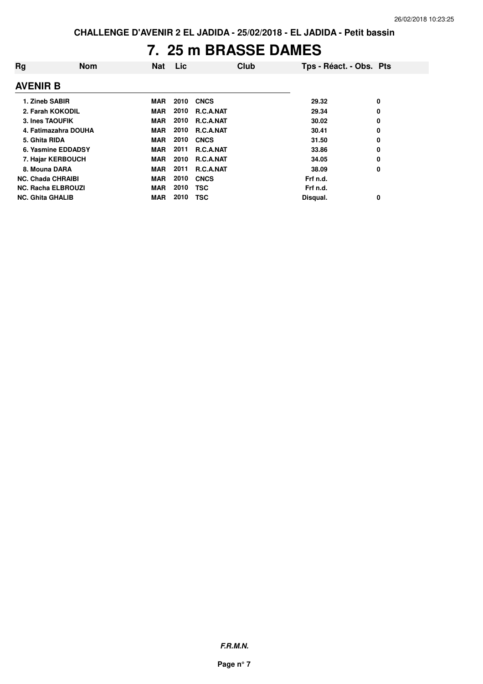## **7. 25 m BRASSE DAMES**

| Rg                        | <b>Nom</b> | Nat        | Lic  |                  | Club | Tps - Réact. - Obs. Pts |   |
|---------------------------|------------|------------|------|------------------|------|-------------------------|---|
| <b>AVENIR B</b>           |            |            |      |                  |      |                         |   |
| 1. Zineb SABIR            |            | MAR        | 2010 | <b>CNCS</b>      |      | 29.32                   | 0 |
| 2. Farah KOKODIL          |            | <b>MAR</b> | 2010 | <b>R.C.A.NAT</b> |      | 29.34                   | 0 |
| 3. Ines TAOUFIK           |            | <b>MAR</b> | 2010 | <b>R.C.A.NAT</b> |      | 30.02                   | 0 |
| 4. Fatimazahra DOUHA      |            | <b>MAR</b> | 2010 | <b>R.C.A.NAT</b> |      | 30.41                   | 0 |
| 5. Ghita RIDA             |            | <b>MAR</b> | 2010 | <b>CNCS</b>      |      | 31.50                   | 0 |
| 6. Yasmine EDDADSY        |            | <b>MAR</b> | 2011 | <b>R.C.A.NAT</b> |      | 33.86                   | 0 |
| 7. Hajar KERBOUCH         |            | MAR        | 2010 | <b>R.C.A.NAT</b> |      | 34.05                   | 0 |
| 8. Mouna DARA             |            | <b>MAR</b> | 2011 | <b>R.C.A.NAT</b> |      | 38.09                   | 0 |
| <b>NC. Chada CHRAIBI</b>  |            | <b>MAR</b> | 2010 | <b>CNCS</b>      |      | Frf n.d.                |   |
| <b>NC. Racha ELBROUZI</b> |            | <b>MAR</b> | 2010 | <b>TSC</b>       |      | Frf n.d.                |   |
| <b>NC. Ghita GHALIB</b>   |            | MAR        | 2010 | <b>TSC</b>       |      | Disqual.                | 0 |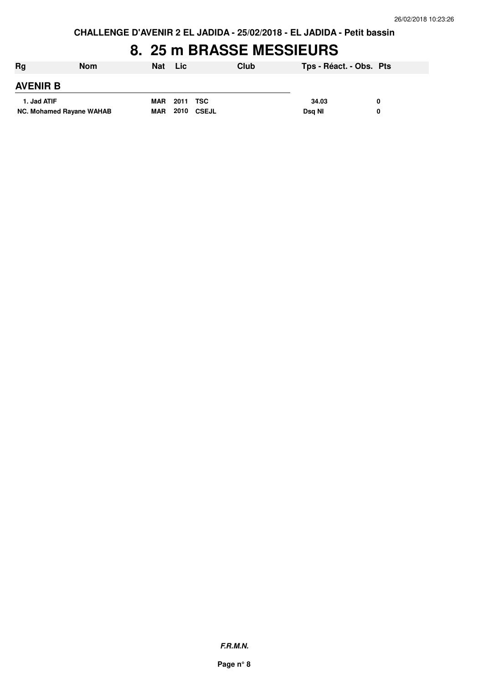**CHALLENGE D'AVENIR 2 EL JADIDA - 25/02/2018 - EL JADIDA - Petit bassin**

### **8. 25 m BRASSE MESSIEURS**

| Rg                       | <b>Nom</b> | <b>Nat</b> | Lic               | Club | Tps - Réact. - Obs. Pts |   |
|--------------------------|------------|------------|-------------------|------|-------------------------|---|
| <b>AVENIR B</b>          |            |            |                   |      |                         |   |
| 1. Jad ATIF              |            | <b>MAR</b> | 2011 TSC          |      | 34.03                   |   |
| NC. Mohamed Rayane WAHAB |            | <b>MAR</b> | <b>2010 CSEJL</b> |      | Dsg NI                  | 0 |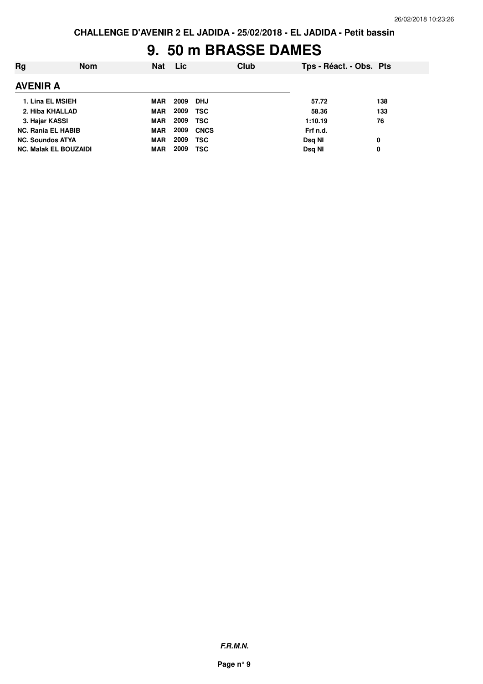## **9. 50 m BRASSE DAMES**

| Rg                           | <b>Nom</b> | <b>Nat</b> | Lic. |             | Club | Tps - Réact. - Obs. Pts |     |
|------------------------------|------------|------------|------|-------------|------|-------------------------|-----|
| <b>AVENIR A</b>              |            |            |      |             |      |                         |     |
| 1. Lina EL MSIEH             |            | MAR        | 2009 | DHJ         |      | 57.72                   | 138 |
| 2. Hiba KHALLAD              |            | <b>MAR</b> | 2009 | <b>TSC</b>  |      | 58.36                   | 133 |
| 3. Hajar KASSI               |            | <b>MAR</b> | 2009 | <b>TSC</b>  |      | 1:10.19                 | 76  |
| <b>NC. Rania EL HABIB</b>    |            | <b>MAR</b> | 2009 | <b>CNCS</b> |      | Frf n.d.                |     |
| <b>NC. Soundos ATYA</b>      |            | <b>MAR</b> | 2009 | <b>TSC</b>  |      | Dsg NI                  | 0   |
| <b>NC. Malak EL BOUZAIDI</b> |            | <b>MAR</b> | 2009 | TSC         |      | Dsq NI                  | 0   |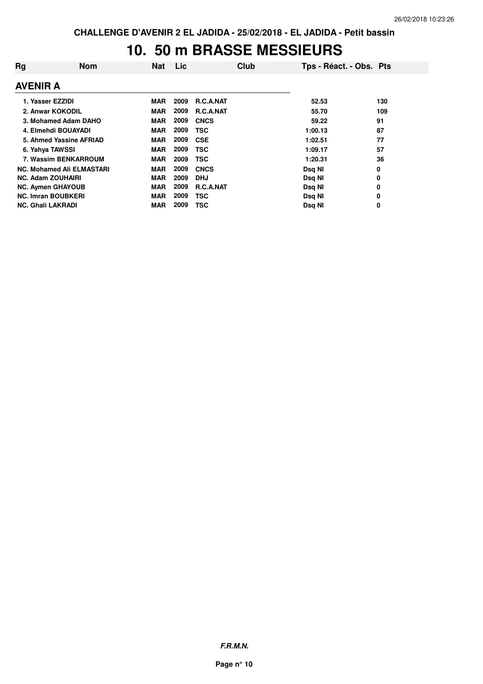#### **10. 50 m BRASSE MESSIEURS**

| Rg                        | <b>Nom</b>                       | <b>Nat</b> | Lic  | Club             | Tps - Réact. - Obs. Pts |     |
|---------------------------|----------------------------------|------------|------|------------------|-------------------------|-----|
| <b>AVENIR A</b>           |                                  |            |      |                  |                         |     |
| 1. Yasser EZZIDI          |                                  | MAR        | 2009 | <b>R.C.A.NAT</b> | 52.53                   | 130 |
|                           | 2. Anwar KOKODIL                 | <b>MAR</b> | 2009 | <b>R.C.A.NAT</b> | 55.70                   | 109 |
|                           | 3. Mohamed Adam DAHO             | <b>MAR</b> | 2009 | <b>CNCS</b>      | 59.22                   | 91  |
|                           | 4. Elmehdi BOUAYADI              | <b>MAR</b> | 2009 | TSC              | 1:00.13                 | 87  |
|                           | 5. Ahmed Yassine AFRIAD          | <b>MAR</b> | 2009 | <b>CSE</b>       | 1:02.51                 | 77  |
| 6. Yahya TAWSSI           |                                  | <b>MAR</b> | 2009 | <b>TSC</b>       | 1:09.17                 | 57  |
|                           | 7. Wassim BENKARROUM             | MAR        | 2009 | TSC              | 1:20.31                 | 36  |
|                           | <b>NC. Mohamed Ali ELMASTARI</b> | <b>MAR</b> | 2009 | <b>CNCS</b>      | Dsq NI                  | 0   |
| <b>NC. Adam ZOUHAIRI</b>  |                                  | <b>MAR</b> | 2009 | <b>DHJ</b>       | Dsq NI                  | 0   |
| <b>NC. Aymen GHAYOUB</b>  |                                  | <b>MAR</b> | 2009 | <b>R.C.A.NAT</b> | Dsq NI                  | 0   |
| <b>NC. Imran BOUBKERI</b> |                                  | <b>MAR</b> | 2009 | TSC              | Dsq NI                  | 0   |
| <b>NC. Ghali LAKRADI</b>  |                                  | <b>MAR</b> | 2009 | <b>TSC</b>       | Dsg NI                  | 0   |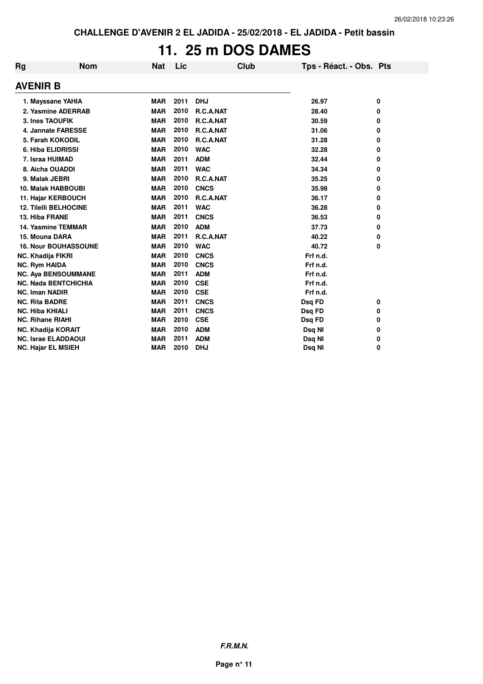# **11. 25 m DOS DAMES**

| Rg                        | Nom                          | <b>Nat</b> | Lic  | Club        | Tps - Réact. - Obs. Pts |   |
|---------------------------|------------------------------|------------|------|-------------|-------------------------|---|
| <b>AVENIR B</b>           |                              |            |      |             |                         |   |
|                           | 1. Mayssane YAHIA            | <b>MAR</b> | 2011 | <b>DHJ</b>  | 26.97                   | 0 |
|                           | 2. Yasmine ADERRAB           | <b>MAR</b> | 2010 | R.C.A.NAT   | 28.40                   | 0 |
| 3. Ines TAOUFIK           |                              | <b>MAR</b> | 2010 | R.C.A.NAT   | 30.59                   | 0 |
|                           | 4. Jannate FARESSE           | <b>MAR</b> | 2010 | R.C.A.NAT   | 31.06                   | 0 |
|                           | 5. Farah KOKODIL             | <b>MAR</b> | 2010 | R.C.A.NAT   | 31.28                   | 0 |
| 6. Hiba ELIDRISSI         |                              | <b>MAR</b> | 2010 | <b>WAC</b>  | 32.28                   | 0 |
| 7. Israa HUIMAD           |                              | <b>MAR</b> | 2011 | <b>ADM</b>  | 32.44                   | 0 |
| 8. Aicha OUADDI           |                              | <b>MAR</b> | 2011 | <b>WAC</b>  | 34.34                   | 0 |
| 9. Malak JEBRI            |                              | <b>MAR</b> | 2010 | R.C.A.NAT   | 35.25                   | 0 |
|                           | 10. Malak HABBOUBI           | <b>MAR</b> | 2010 | <b>CNCS</b> | 35.98                   | 0 |
|                           | 11. Hajar KERBOUCH           | <b>MAR</b> | 2010 | R.C.A.NAT   | 36.17                   | 0 |
|                           | <b>12. Tilelli BELHOCINE</b> | <b>MAR</b> | 2011 | <b>WAC</b>  | 36.28                   | 0 |
| 13. Hiba FRANE            |                              | <b>MAR</b> | 2011 | <b>CNCS</b> | 36.53                   | 0 |
|                           | <b>14. Yasmine TEMMAR</b>    | <b>MAR</b> | 2010 | <b>ADM</b>  | 37.73                   | 0 |
| 15. Mouna DARA            |                              | <b>MAR</b> | 2011 | R.C.A.NAT   | 40.22                   | 0 |
|                           | <b>16. Nour BOUHASSOUNE</b>  | <b>MAR</b> | 2010 | <b>WAC</b>  | 40.72                   | 0 |
| NC. Khadija FIKRI         |                              | <b>MAR</b> | 2010 | <b>CNCS</b> | Frf n.d.                |   |
| <b>NC. Rym HAIDA</b>      |                              | <b>MAR</b> | 2010 | <b>CNCS</b> | Frf n.d.                |   |
|                           | <b>NC. Aya BENSOUMMANE</b>   | <b>MAR</b> | 2011 | <b>ADM</b>  | Frf n.d.                |   |
|                           | <b>NC. Nada BENTCHICHIA</b>  | <b>MAR</b> | 2010 | <b>CSE</b>  | Frf n.d.                |   |
| <b>NC. Iman NADIR</b>     |                              | <b>MAR</b> | 2010 | <b>CSE</b>  | Frf n.d.                |   |
| <b>NC. Rita BADRE</b>     |                              | <b>MAR</b> | 2011 | <b>CNCS</b> | Dsq FD                  | 0 |
| <b>NC. Hiba KHIALI</b>    |                              | <b>MAR</b> | 2011 | <b>CNCS</b> | Dsq FD                  | 0 |
| <b>NC. Rihane RIAHI</b>   |                              | <b>MAR</b> | 2010 | <b>CSE</b>  | Dsq FD                  | 0 |
| <b>NC. Khadija KORAIT</b> |                              | <b>MAR</b> | 2010 | <b>ADM</b>  | Dsq NI                  | 0 |
|                           | <b>NC. Israe ELADDAOUI</b>   | <b>MAR</b> | 2011 | <b>ADM</b>  | Dsq NI                  | 0 |
| <b>NC. Hajar EL MSIEH</b> |                              | <b>MAR</b> | 2010 | <b>DHJ</b>  | Dsq NI                  | 0 |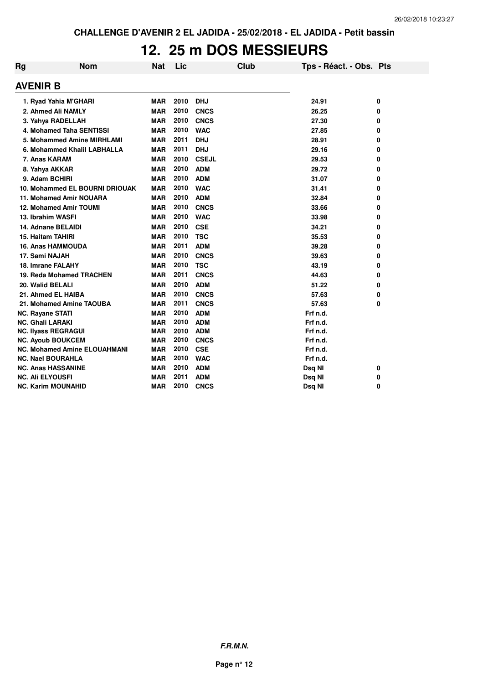### **12. 25 m DOS MESSIEURS**

| Rg                       | <b>Nom</b>                          | Nat        | Lic  | Club         | Tps - Réact. - Obs. Pts |   |
|--------------------------|-------------------------------------|------------|------|--------------|-------------------------|---|
| <b>AVENIR B</b>          |                                     |            |      |              |                         |   |
|                          | 1. Ryad Yahia M'GHARI               | <b>MAR</b> | 2010 | <b>DHJ</b>   | 24.91                   | 0 |
|                          | 2. Ahmed Ali NAMLY                  | <b>MAR</b> | 2010 | <b>CNCS</b>  | 26.25                   | 0 |
|                          | 3. Yahya RADELLAH                   | <b>MAR</b> | 2010 | <b>CNCS</b>  | 27.30                   | 0 |
|                          | 4. Mohamed Taha SENTISSI            | <b>MAR</b> | 2010 | <b>WAC</b>   | 27.85                   | 0 |
|                          | 5. Mohammed Amine MIRHLAMI          | <b>MAR</b> | 2011 | <b>DHJ</b>   | 28.91                   | 0 |
|                          | 6. Mohammed Khalil LABHALLA         | <b>MAR</b> | 2011 | <b>DHJ</b>   | 29.16                   | 0 |
| 7. Anas KARAM            |                                     | <b>MAR</b> | 2010 | <b>CSEJL</b> | 29.53                   | 0 |
| 8. Yahya AKKAR           |                                     | <b>MAR</b> | 2010 | <b>ADM</b>   | 29.72                   | 0 |
| 9. Adam BCHIRI           |                                     | <b>MAR</b> | 2010 | <b>ADM</b>   | 31.07                   | 0 |
|                          | 10. Mohammed EL BOURNI DRIOUAK      | <b>MAR</b> | 2010 | <b>WAC</b>   | 31.41                   | 0 |
|                          | 11. Mohamed Amir NOUARA             | <b>MAR</b> | 2010 | <b>ADM</b>   | 32.84                   | 0 |
|                          | 12. Mohamed Amir TOUMI              | <b>MAR</b> | 2010 | <b>CNCS</b>  | 33.66                   | 0 |
| 13. Ibrahim WASFI        |                                     | <b>MAR</b> | 2010 | <b>WAC</b>   | 33.98                   | 0 |
| 14. Adnane BELAIDI       |                                     | <b>MAR</b> | 2010 | <b>CSE</b>   | 34.21                   | 0 |
| 15. Haitam TAHIRI        |                                     | <b>MAR</b> | 2010 | <b>TSC</b>   | 35.53                   | 0 |
|                          | <b>16. Anas HAMMOUDA</b>            | <b>MAR</b> | 2011 | <b>ADM</b>   | 39.28                   | 0 |
| 17. Sami NAJAH           |                                     | <b>MAR</b> | 2010 | <b>CNCS</b>  | 39.63                   | 0 |
| 18. Imrane FALAHY        |                                     | <b>MAR</b> | 2010 | <b>TSC</b>   | 43.19                   | 0 |
|                          | 19. Reda Mohamed TRACHEN            | <b>MAR</b> | 2011 | <b>CNCS</b>  | 44.63                   | 0 |
| 20. Walid BELALI         |                                     | <b>MAR</b> | 2010 | <b>ADM</b>   | 51.22                   | 0 |
|                          | 21. Ahmed EL HAIBA                  | <b>MAR</b> | 2010 | <b>CNCS</b>  | 57.63                   | 0 |
|                          | 21. Mohamed Amine TAOUBA            | <b>MAR</b> | 2011 | <b>CNCS</b>  | 57.63                   | 0 |
| <b>NC. Rayane STATI</b>  |                                     | <b>MAR</b> | 2010 | <b>ADM</b>   | Frf n.d.                |   |
| <b>NC. Ghali LARAKI</b>  |                                     | <b>MAR</b> | 2010 | <b>ADM</b>   | Frf n.d.                |   |
|                          | <b>NC. Ilyass REGRAGUI</b>          | <b>MAR</b> | 2010 | <b>ADM</b>   | Frf n.d.                |   |
|                          | <b>NC. Ayoub BOUKCEM</b>            | <b>MAR</b> | 2010 | <b>CNCS</b>  | Frf n.d.                |   |
|                          | <b>NC. Mohamed Amine ELOUAHMANI</b> | <b>MAR</b> | 2010 | <b>CSE</b>   | Frf n.d.                |   |
| <b>NC. Nael BOURAHLA</b> |                                     | <b>MAR</b> | 2010 | <b>WAC</b>   | Frf n.d.                |   |
|                          | <b>NC. Anas HASSANINE</b>           | <b>MAR</b> | 2010 | <b>ADM</b>   | Dsq NI                  | 0 |
| <b>NC. Ali ELYOUSFI</b>  |                                     | <b>MAR</b> | 2011 | <b>ADM</b>   | Dsq NI                  | 0 |
|                          | <b>NC. Karim MOUNAHID</b>           | <b>MAR</b> | 2010 | <b>CNCS</b>  | Dsq NI                  | 0 |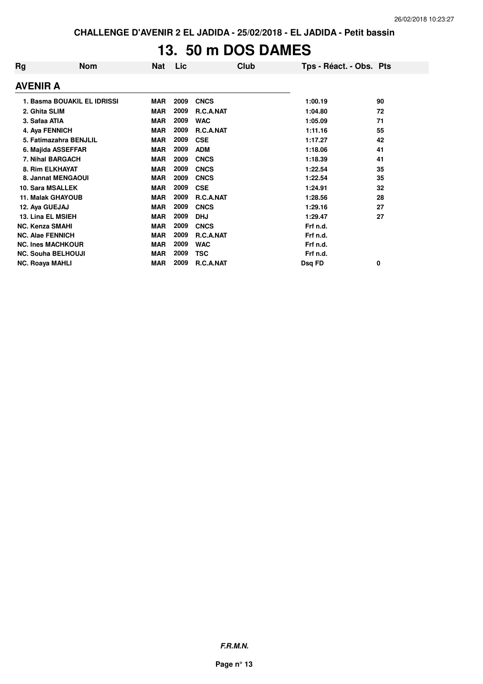# **13. 50 m DOS DAMES**

| Rg                     | <b>Nom</b>                  | <b>Nat</b> | Lic  | Club        | Tps - Réact. - Obs. Pts |    |  |  |
|------------------------|-----------------------------|------------|------|-------------|-------------------------|----|--|--|
| AVENIR A               |                             |            |      |             |                         |    |  |  |
|                        | 1. Basma BOUAKIL EL IDRISSI | <b>MAR</b> | 2009 | <b>CNCS</b> | 1:00.19                 | 90 |  |  |
| 2. Ghita SLIM          |                             | <b>MAR</b> | 2009 | R.C.A.NAT   | 1:04.80                 | 72 |  |  |
| 3. Safaa ATIA          |                             | <b>MAR</b> | 2009 | <b>WAC</b>  | 1:05.09                 | 71 |  |  |
|                        | 4. Aya FENNICH              | <b>MAR</b> | 2009 | R.C.A.NAT   | 1:11.16                 | 55 |  |  |
|                        | 5. Fatimazahra BENJLIL      | <b>MAR</b> | 2009 | <b>CSE</b>  | 1:17.27                 | 42 |  |  |
|                        | 6. Majida ASSEFFAR          | <b>MAR</b> | 2009 | <b>ADM</b>  | 1:18.06                 | 41 |  |  |
|                        | 7. Nihal BARGACH            | <b>MAR</b> | 2009 | <b>CNCS</b> | 1:18.39                 | 41 |  |  |
|                        | 8. Rim ELKHAYAT             | <b>MAR</b> | 2009 | <b>CNCS</b> | 1:22.54                 | 35 |  |  |
|                        | 8. Jannat MENGAOUI          | <b>MAR</b> | 2009 | <b>CNCS</b> | 1:22.54                 | 35 |  |  |
|                        | <b>10. Sara MSALLEK</b>     | <b>MAR</b> | 2009 | <b>CSE</b>  | 1:24.91                 | 32 |  |  |
|                        | <b>11. Malak GHAYOUB</b>    | <b>MAR</b> | 2009 | R.C.A.NAT   | 1:28.56                 | 28 |  |  |
| 12. Aya GUEJAJ         |                             | <b>MAR</b> | 2009 | <b>CNCS</b> | 1:29.16                 | 27 |  |  |
|                        | 13. Lina EL MSIEH           | <b>MAR</b> | 2009 | <b>DHJ</b>  | 1:29.47                 | 27 |  |  |
| <b>NC. Kenza SMAHI</b> |                             | <b>MAR</b> | 2009 | <b>CNCS</b> | Frf n.d.                |    |  |  |
|                        | <b>NC. Alae FENNICH</b>     | <b>MAR</b> | 2009 | R.C.A.NAT   | Frf n.d.                |    |  |  |
|                        | <b>NC. Ines MACHKOUR</b>    | <b>MAR</b> | 2009 | <b>WAC</b>  | Frf n.d.                |    |  |  |
|                        | <b>NC. Souha BELHOUJI</b>   | <b>MAR</b> | 2009 | <b>TSC</b>  | Frf n.d.                |    |  |  |
| <b>NC. Roaya MAHLI</b> |                             | <b>MAR</b> | 2009 | R.C.A.NAT   | Dsq FD                  | 0  |  |  |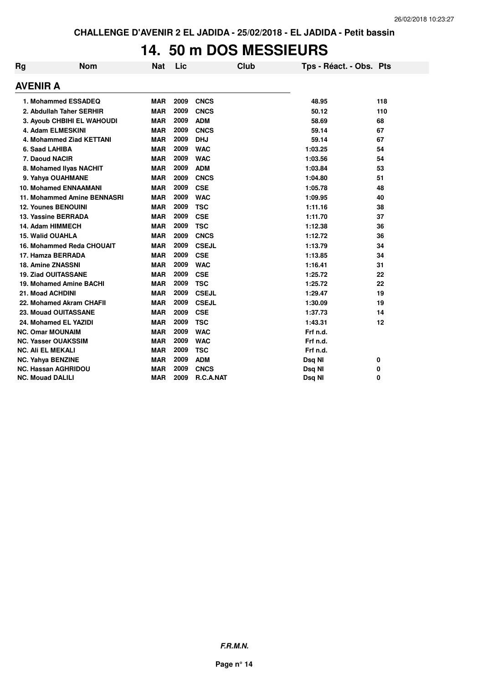# **14. 50 m DOS MESSIEURS**

| Rg              | <b>Nom</b>                   | <b>Nat</b> | Lic  | <b>Club</b>  | Tps - Réact. - Obs. Pts |     |
|-----------------|------------------------------|------------|------|--------------|-------------------------|-----|
| <b>AVENIR A</b> |                              |            |      |              |                         |     |
|                 | 1. Mohammed ESSADEQ          | <b>MAR</b> | 2009 | <b>CNCS</b>  | 48.95                   | 118 |
|                 | 2. Abdullah Taher SERHIR     | <b>MAR</b> | 2009 | <b>CNCS</b>  | 50.12                   | 110 |
|                 | 3. Ayoub CHBIHI EL WAHOUDI   | <b>MAR</b> | 2009 | <b>ADM</b>   | 58.69                   | 68  |
|                 | 4. Adam ELMESKINI            | <b>MAR</b> | 2009 | <b>CNCS</b>  | 59.14                   | 67  |
|                 | 4. Mohammed Ziad KETTANI     | <b>MAR</b> | 2009 | <b>DHJ</b>   | 59.14                   | 67  |
|                 | 6. Saad LAHIBA               | <b>MAR</b> | 2009 | <b>WAC</b>   | 1:03.25                 | 54  |
|                 | 7. Daoud NACIR               | <b>MAR</b> | 2009 | <b>WAC</b>   | 1:03.56                 | 54  |
|                 | 8. Mohamed Ilyas NACHIT      | <b>MAR</b> | 2009 | <b>ADM</b>   | 1:03.84                 | 53  |
|                 | 9. Yahya OUAHMANE            | <b>MAR</b> | 2009 | <b>CNCS</b>  | 1:04.80                 | 51  |
|                 | <b>10. Mohamed ENNAAMANI</b> | <b>MAR</b> | 2009 | <b>CSE</b>   | 1:05.78                 | 48  |
|                 | 11. Mohammed Amine BENNASRI  | <b>MAR</b> | 2009 | <b>WAC</b>   | 1:09.95                 | 40  |
|                 | <b>12. Younes BENOUINI</b>   | <b>MAR</b> | 2009 | <b>TSC</b>   | 1:11.16                 | 38  |
|                 | 13. Yassine BERRADA          | <b>MAR</b> | 2009 | <b>CSE</b>   | 1:11.70                 | 37  |
|                 | 14. Adam HIMMECH             | <b>MAR</b> | 2009 | <b>TSC</b>   | 1:12.38                 | 36  |
|                 | <b>15. Walid OUAHLA</b>      | <b>MAR</b> | 2009 | <b>CNCS</b>  | 1:12.72                 | 36  |
|                 | 16. Mohammed Reda CHOUAIT    | <b>MAR</b> | 2009 | <b>CSEJL</b> | 1:13.79                 | 34  |
|                 | 17. Hamza BERRADA            | <b>MAR</b> | 2009 | <b>CSE</b>   | 1:13.85                 | 34  |
|                 | <b>18. Amine ZNASSNI</b>     | <b>MAR</b> | 2009 | <b>WAC</b>   | 1:16.41                 | 31  |
|                 | <b>19. Ziad OUITASSANE</b>   | <b>MAR</b> | 2009 | <b>CSE</b>   | 1:25.72                 | 22  |
|                 | 19. Mohamed Amine BACHI      | <b>MAR</b> | 2009 | <b>TSC</b>   | 1:25.72                 | 22  |
|                 | 21. Moad ACHDINI             | <b>MAR</b> | 2009 | <b>CSEJL</b> | 1:29.47                 | 19  |
|                 | 22. Mohamed Akram CHAFII     | <b>MAR</b> | 2009 | <b>CSEJL</b> | 1:30.09                 | 19  |
|                 | <b>23. Mouad OUITASSANE</b>  | <b>MAR</b> | 2009 | <b>CSE</b>   | 1:37.73                 | 14  |
|                 | 24. Mohamed EL YAZIDI        | <b>MAR</b> | 2009 | <b>TSC</b>   | 1:43.31                 | 12  |
|                 | <b>NC. Omar MOUNAIM</b>      | <b>MAR</b> | 2009 | <b>WAC</b>   | Frf n.d.                |     |
|                 | <b>NC. Yasser OUAKSSIM</b>   | <b>MAR</b> | 2009 | <b>WAC</b>   | Frf n.d.                |     |
|                 | <b>NC. Ali EL MEKALI</b>     | <b>MAR</b> | 2009 | <b>TSC</b>   | Frf n.d.                |     |
|                 | <b>NC. Yahya BENZINE</b>     | <b>MAR</b> | 2009 | <b>ADM</b>   | Dsq NI                  | 0   |
|                 | <b>NC. Hassan AGHRIDOU</b>   | <b>MAR</b> | 2009 | <b>CNCS</b>  | Dsq NI                  | 0   |
|                 | <b>NC. Mouad DALILI</b>      | <b>MAR</b> | 2009 | R.C.A.NAT    | Dsq NI                  | 0   |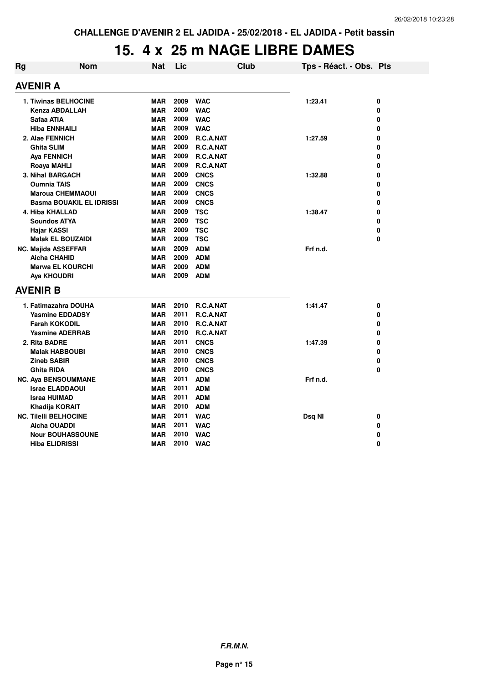## **15. 4 x 25 m NAGE LIBRE DAMES**

| Rg | <b>Nom</b>                      | Nat        | Lic  |             | <b>Club</b> | Tps - Réact. - Obs. Pts |   |
|----|---------------------------------|------------|------|-------------|-------------|-------------------------|---|
|    | <b>AVENIR A</b>                 |            |      |             |             |                         |   |
|    | <b>1. Tiwinas BELHOCINE</b>     | <b>MAR</b> | 2009 | <b>WAC</b>  |             | 1:23.41                 | 0 |
|    | <b>Kenza ABDALLAH</b>           | <b>MAR</b> | 2009 | <b>WAC</b>  |             |                         | 0 |
|    | Safaa ATIA                      | <b>MAR</b> | 2009 | <b>WAC</b>  |             |                         | 0 |
|    | <b>Hiba ENNHAILI</b>            | <b>MAR</b> | 2009 | <b>WAC</b>  |             |                         | 0 |
|    | 2. Alae FENNICH                 | <b>MAR</b> | 2009 | R.C.A.NAT   |             | 1:27.59                 | 0 |
|    | <b>Ghita SLIM</b>               | <b>MAR</b> | 2009 | R.C.A.NAT   |             |                         | 0 |
|    | <b>Aya FENNICH</b>              | <b>MAR</b> | 2009 | R.C.A.NAT   |             |                         | 0 |
|    | Roaya MAHLI                     | <b>MAR</b> | 2009 | R.C.A.NAT   |             |                         | 0 |
|    | 3. Nihal BARGACH                | <b>MAR</b> | 2009 | <b>CNCS</b> |             | 1:32.88                 | 0 |
|    | <b>Oumnia TAIS</b>              | <b>MAR</b> | 2009 | <b>CNCS</b> |             |                         | 0 |
|    | <b>Maroua CHEMMAOUI</b>         | <b>MAR</b> | 2009 | <b>CNCS</b> |             |                         | 0 |
|    | <b>Basma BOUAKIL EL IDRISSI</b> | <b>MAR</b> | 2009 | <b>CNCS</b> |             |                         | 0 |
|    | 4. Hiba KHALLAD                 | <b>MAR</b> | 2009 | <b>TSC</b>  |             | 1:38.47                 | 0 |
|    | <b>Soundos ATYA</b>             | <b>MAR</b> | 2009 | <b>TSC</b>  |             |                         | 0 |
|    | Hajar KASSI                     | <b>MAR</b> | 2009 | <b>TSC</b>  |             |                         | 0 |
|    | <b>Malak EL BOUZAIDI</b>        | <b>MAR</b> | 2009 | <b>TSC</b>  |             |                         | 0 |
|    | <b>NC. Majida ASSEFFAR</b>      | <b>MAR</b> | 2009 | <b>ADM</b>  |             | Frf n.d.                |   |
|    | <b>Aicha CHAHID</b>             | <b>MAR</b> | 2009 | <b>ADM</b>  |             |                         |   |
|    | <b>Marwa EL KOURCHI</b>         | <b>MAR</b> | 2009 | <b>ADM</b>  |             |                         |   |
|    | Aya KHOUDRI                     | <b>MAR</b> | 2009 | <b>ADM</b>  |             |                         |   |
|    | <b>AVENIR B</b>                 |            |      |             |             |                         |   |
|    | 1. Fatimazahra DOUHA            | <b>MAR</b> | 2010 | R.C.A.NAT   |             | 1:41.47                 | 0 |
|    | <b>Yasmine EDDADSY</b>          | <b>MAR</b> | 2011 | R.C.A.NAT   |             |                         | 0 |
|    | <b>Farah KOKODIL</b>            | <b>MAR</b> | 2010 | R.C.A.NAT   |             |                         | 0 |
|    | <b>Yasmine ADERRAB</b>          | MAR        | 2010 | R.C.A.NAT   |             |                         | 0 |
|    | 2. Rita BADRE                   | <b>MAR</b> | 2011 | <b>CNCS</b> |             | 1:47.39                 | 0 |
|    | <b>Malak HABBOUBI</b>           | <b>MAR</b> | 2010 | <b>CNCS</b> |             |                         | 0 |
|    | <b>Zineb SABIR</b>              | <b>MAR</b> | 2010 | <b>CNCS</b> |             |                         | 0 |
|    | <b>Ghita RIDA</b>               | <b>MAR</b> | 2010 | <b>CNCS</b> |             |                         | 0 |
|    | <b>NC. Aya BENSOUMMANE</b>      | <b>MAR</b> | 2011 | <b>ADM</b>  |             | Frf n.d.                |   |
|    | <b>Israe ELADDAOUI</b>          | <b>MAR</b> | 2011 | <b>ADM</b>  |             |                         |   |
|    | <b>Israa HUIMAD</b>             | <b>MAR</b> | 2011 | <b>ADM</b>  |             |                         |   |
|    | Khadija KORAIT                  | <b>MAR</b> | 2010 | <b>ADM</b>  |             |                         |   |
|    | <b>NC. Tilelli BELHOCINE</b>    | <b>MAR</b> | 2011 | <b>WAC</b>  |             | Dsq NI                  | 0 |
|    | Aicha OUADDI                    | <b>MAR</b> | 2011 | <b>WAC</b>  |             |                         | 0 |
|    | <b>Nour BOUHASSOUNE</b>         | <b>MAR</b> | 2010 | <b>WAC</b>  |             |                         | 0 |
|    | <b>Hiba ELIDRISSI</b>           | <b>MAR</b> | 2010 | <b>WAC</b>  |             |                         | 0 |